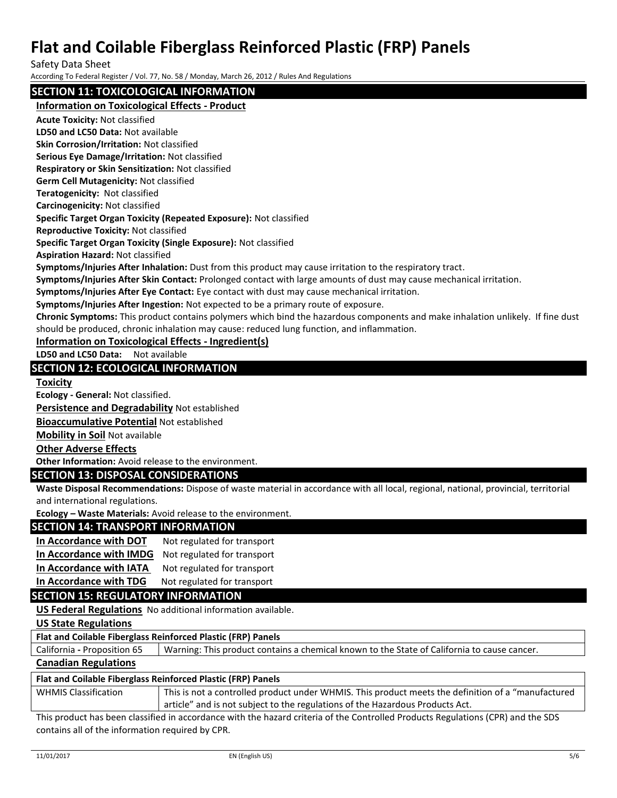# **Flat and Coilable Fiberglass Reinforced Plastic (FRP) Panels**

Safety Data Sheet

According To Federal Register / Vol. 77, No. 58 / Monday, March 26, 2012 / Rules And Regulations

## **SECTION 11: TOXICOLOGICAL INFORMATION**

## **Information on Toxicological Effects - Product**

**LD50 and LC50 Data:** Not available **Skin Corrosion/Irritation:** Not classified **Serious Eye Damage/Irritation:** Not classified **Respiratory or Skin Sensitization:** Not classified **Germ Cell Mutagenicity:** Not classified **Teratogenicity:** Not classified **Carcinogenicity:** Not classified **Specific Target Organ Toxicity (Repeated Exposure):** Not classified **Reproductive Toxicity:** Not classified **Specific Target Organ Toxicity (Single Exposure):** Not classified **Aspiration Hazard:** Not classified **Symptoms/Injuries After Inhalation:** Dust from this product may cause irritation to the respiratory tract. **Symptoms/Injuries After Skin Contact:** Prolonged contact with large amounts of dust may cause mechanical irritation. **Symptoms/Injuries After Eye Contact:** Eye contact with dust may cause mechanical irritation. **Symptoms/Injuries After Ingestion:** Not expected to be a primary route of exposure. **Chronic Symptoms:** This product contains polymers which bind the hazardous components and make inhalation unlikely. If fine dust should be produced, chronic inhalation may cause: reduced lung function, and inflammation. **Information on Toxicological Effects - Ingredient(s) LD50 and LC50 Data:** Not available **SECTION 12: ECOLOGICAL INFORMATION Toxicity Ecology - General:** Not classified. **Persistence and Degradability** Not established **Bioaccumulative Potential** Not established **Mobility in Soil** Not available **Other Adverse Effects Other Information:** Avoid release to the environment. **SECTION 13: DISPOSAL CONSIDERATIONS Waste Disposal Recommendations:** Dispose of waste material in accordance with all local, regional, national, provincial, territorial and international regulations. **Ecology – Waste Materials:** Avoid release to the environment. **SECTION 14: TRANSPORT INFORMATION In Accordance with DOT** Not regulated for transport **In Accordance with IMDG** Not regulated for transport **In Accordance with IATA** Not regulated for transport **In Accordance with TDG** Not regulated for transport **SECTION 15: REGULATORY INFORMATION US Federal Regulations** No additional information available. **US State Regulations Flat and Coilable Fiberglass Reinforced Plastic (FRP) Panels** California **-** Proposition 65 Warning: This product contains a chemical known to the State of California to cause cancer. **Canadian Regulations Acute Toxicity:** Not classified **Flat and Coilable Fiberglass Reinforced Plastic (FRP) Panels** WHMIS Classification **This is not a controlled product under WHMIS**. This product meets the definition of a "manufactured article" and is not subject to the regulations of the Hazardous Products Act.

This product has been classified in accordance with the hazard criteria of the Controlled Products Regulations (CPR) and the SDS contains all of the information required by CPR.